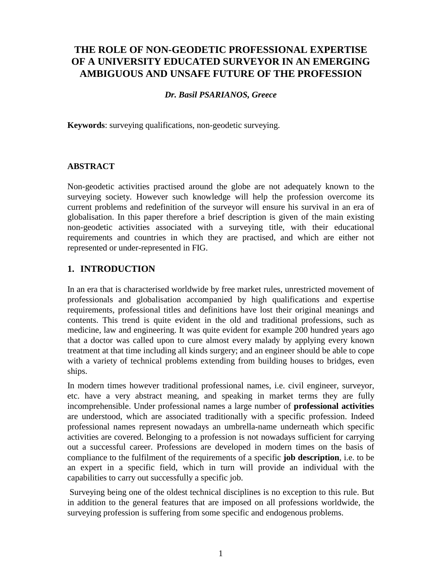# **THE ROLE OF NON-GEODETIC PROFESSIONAL EXPERTISE OF A UNIVERSITY EDUCATED SURVEYOR IN AN EMERGING AMBIGUOUS AND UNSAFE FUTURE OF THE PROFESSION**

### *Dr. Basil PSARIANOS, Greece*

**Keywords**: surveying qualifications, non-geodetic surveying.

# **ABSTRACT**

Non-geodetic activities practised around the globe are not adequately known to the surveying society. However such knowledge will help the profession overcome its current problems and redefinition of the surveyor will ensure his survival in an era of globalisation. In this paper therefore a brief description is given of the main existing non-geodetic activities associated with a surveying title, with their educational requirements and countries in which they are practised, and which are either not represented or under-represented in FIG.

# **1. INTRODUCTION**

In an era that is characterised worldwide by free market rules, unrestricted movement of professionals and globalisation accompanied by high qualifications and expertise requirements, professional titles and definitions have lost their original meanings and contents. This trend is quite evident in the old and traditional professions, such as medicine, law and engineering. It was quite evident for example 200 hundred years ago that a doctor was called upon to cure almost every malady by applying every known treatment at that time including all kinds surgery; and an engineer should be able to cope with a variety of technical problems extending from building houses to bridges, even ships.

In modern times however traditional professional names, i.e. civil engineer, surveyor, etc. have a very abstract meaning, and speaking in market terms they are fully incomprehensible. Under professional names a large number of **professional activities** are understood, which are associated traditionally with a specific profession. Indeed professional names represent nowadays an umbrella-name underneath which specific activities are covered. Belonging to a profession is not nowadays sufficient for carrying out a successful career. Professions are developed in modern times on the basis of compliance to the fulfilment of the requirements of a specific **job description**, i.e. to be an expert in a specific field, which in turn will provide an individual with the capabilities to carry out successfully a specific job.

 Surveying being one of the oldest technical disciplines is no exception to this rule. But in addition to the general features that are imposed on all professions worldwide, the surveying profession is suffering from some specific and endogenous problems.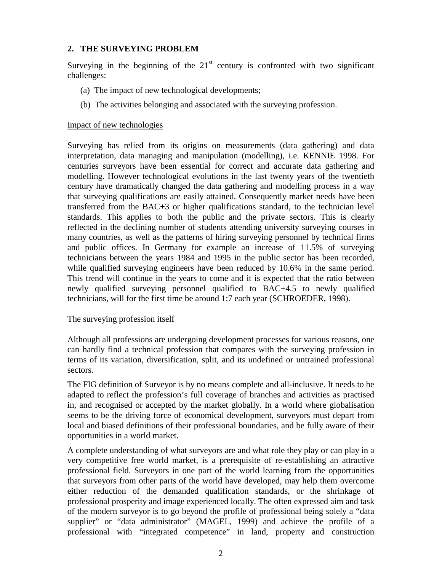## **2. THE SURVEYING PROBLEM**

Surveying in the beginning of the  $21<sup>st</sup>$  century is confronted with two significant challenges:

- (a) The impact of new technological developments;
- (b) The activities belonging and associated with the surveying profession.

#### Impact of new technologies

Surveying has relied from its origins on measurements (data gathering) and data interpretation, data managing and manipulation (modelling), i.e. KENNIE 1998. For centuries surveyors have been essential for correct and accurate data gathering and modelling. However technological evolutions in the last twenty years of the twentieth century have dramatically changed the data gathering and modelling process in a way that surveying qualifications are easily attained. Consequently market needs have been transferred from the BAC+3 or higher qualifications standard, to the technician level standards. This applies to both the public and the private sectors. This is clearly reflected in the declining number of students attending university surveying courses in many countries, as well as the patterns of hiring surveying personnel by technical firms and public offices. In Germany for example an increase of 11.5% of surveying technicians between the years 1984 and 1995 in the public sector has been recorded, while qualified surveying engineers have been reduced by 10.6% in the same period. This trend will continue in the years to come and it is expected that the ratio between newly qualified surveying personnel qualified to BAC+4.5 to newly qualified technicians, will for the first time be around 1:7 each year (SCHROEDER, 1998).

#### The surveying profession itself

Although all professions are undergoing development processes for various reasons, one can hardly find a technical profession that compares with the surveying profession in terms of its variation, diversification, split, and its undefined or untrained professional sectors.

The FIG definition of Surveyor is by no means complete and all-inclusive. It needs to be adapted to reflect the profession's full coverage of branches and activities as practised in, and recognised or accepted by the market globally. In a world where globalisation seems to be the driving force of economical development, surveyors must depart from local and biased definitions of their professional boundaries, and be fully aware of their opportunities in a world market.

A complete understanding of what surveyors are and what role they play or can play in a very competitive free world market, is a prerequisite of re-establishing an attractive professional field. Surveyors in one part of the world learning from the opportunities that surveyors from other parts of the world have developed, may help them overcome either reduction of the demanded qualification standards, or the shrinkage of professional prosperity and image experienced locally. The often expressed aim and task of the modern surveyor is to go beyond the profile of professional being solely a "data supplier" or "data administrator" (MAGEL, 1999) and achieve the profile of a professional with "integrated competence" in land, property and construction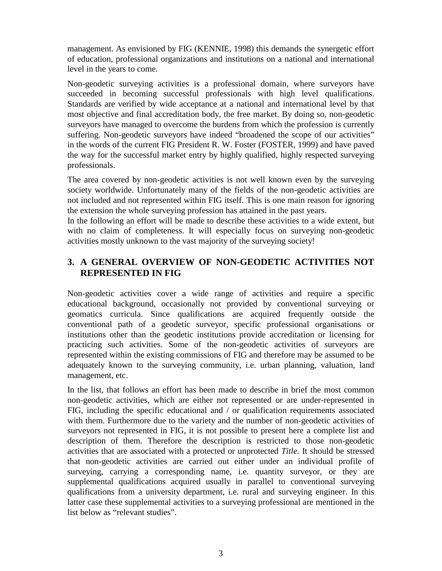management. As envisioned by FIG (KENNIE, 1998) this demands the synergetic effort of education, professional organizations and institutions on a national and international level in the years to come.

Non-geodetic surveying activities is a professional domain, where surveyors have succeeded in becoming successful professionals with high level qualifications. Standards are verified by wide acceptance at a national and international level by that most objective and final accreditation body, the free market. By doing so, non-geodetic surveyors have managed to overcome the burdens from which the profession is currently suffering. Non-geodetic surveyors have indeed "broadened the scope of our activities" in the words of the current FIG President R. W. Foster (FOSTER, 1999) and have paved the way for the successful market entry by highly qualified, highly respected surveying professionals.

The area covered by non-geodetic activities is not well known even by the surveying society worldwide. Unfortunately many of the fields of the non-geodetic activities are not included and not represented within FIG itself. This is one main reason for ignoring the extension the whole surveying profession has attained in the past years.

In the following an effort will be made to describe these activities to a wide extent, but with no claim of completeness. It will especially focus on surveying non-geodetic activities mostly unknown to the vast majority of the surveying society!

# **3. A GENERAL OVERVIEW OF NON-GEODETIC ACTIVITIES NOT REPRESENTED IN FIG**

Non-geodetic activities cover a wide range of activities and require a specific educational background, occasionally not provided by conventional surveying or geomatics curricula. Since qualifications are acquired frequently outside the conventional path of a geodetic surveyor, specific professional organisations or institutions other than the geodetic institutions provide accreditation or licensing for practicing such activities. Some of the non-geodetic activities of surveyors are represented within the existing commissions of FIG and therefore may be assumed to be adequately known to the surveying community, i.e. urban planning, valuation, land management, etc.

In the list, that follows an effort has been made to describe in brief the most common non-geodetic activities, which are either not represented or are under-represented in FIG, including the specific educational and / or qualification requirements associated with them. Furthermore due to the variety and the number of non-geodetic activities of surveyors not represented in FIG, it is not possible to present here a complete list and description of them. Therefore the description is restricted to those non-geodetic activities that are associated with a protected or unprotected *Title.* It should be stressed that non-geodetic activities are carried out either under an individual profile of surveying, carrying a corresponding name, i.e. quantity surveyor, or they are supplemental qualifications acquired usually in parallel to conventional surveying qualifications from a university department, i.e. rural and surveying engineer. In this latter case these supplemental activities to a surveying professional are mentioned in the list below as "relevant studies".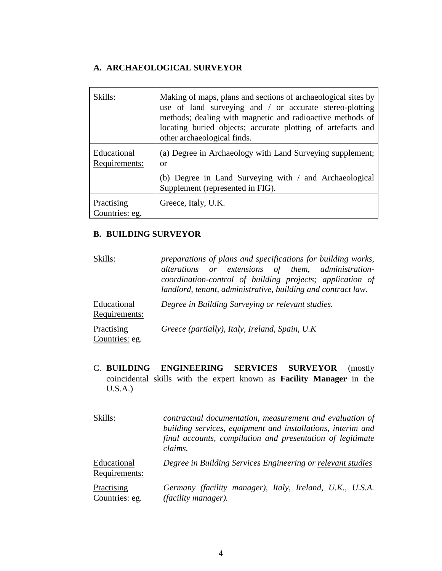# **A. ARCHAEOLOGICAL SURVEYOR**

| Skills:                      | Making of maps, plans and sections of archaeological sites by<br>use of land surveying and / or accurate stereo-plotting<br>methods; dealing with magnetic and radioactive methods of<br>locating buried objects; accurate plotting of artefacts and<br>other archaeological finds. |
|------------------------------|-------------------------------------------------------------------------------------------------------------------------------------------------------------------------------------------------------------------------------------------------------------------------------------|
| Educational<br>Requirements: | (a) Degree in Archaeology with Land Surveying supplement;<br>or                                                                                                                                                                                                                     |
|                              | (b) Degree in Land Surveying with / and Archaeological<br>Supplement (represented in FIG).                                                                                                                                                                                          |
| Practising<br>Countries: eg. | Greece, Italy, U.K.                                                                                                                                                                                                                                                                 |

# **B. BUILDING SURVEYOR**

| Skills:                      | preparations of plans and specifications for building works,<br>alterations or extensions of them, administration-<br>coordination-control of building projects; application of<br>landlord, tenant, administrative, building and contract law. |
|------------------------------|-------------------------------------------------------------------------------------------------------------------------------------------------------------------------------------------------------------------------------------------------|
| Educational<br>Requirements: | Degree in Building Surveying or relevant studies.                                                                                                                                                                                               |
| Practising<br>Countries: eg. | Greece (partially), Italy, Ireland, Spain, U.K.                                                                                                                                                                                                 |

C. **BUILDING ENGINEERING SERVICES SURVEYOR** (mostly coincidental skills with the expert known as **Facility Manager** in the U.S.A.)

| Skills:                      | contractual documentation, measurement and evaluation of<br>building services, equipment and installations, interim and<br>final accounts, compilation and presentation of legitimate<br>claims.<br>Degree in Building Services Engineering or relevant studies |  |  |  |  |  |  |
|------------------------------|-----------------------------------------------------------------------------------------------------------------------------------------------------------------------------------------------------------------------------------------------------------------|--|--|--|--|--|--|
| Educational<br>Requirements: |                                                                                                                                                                                                                                                                 |  |  |  |  |  |  |
| Practising<br>Countries: eg. | Germany (facility manager), Italy, Ireland, U.K., U.S.A.<br><i>(facility manager).</i>                                                                                                                                                                          |  |  |  |  |  |  |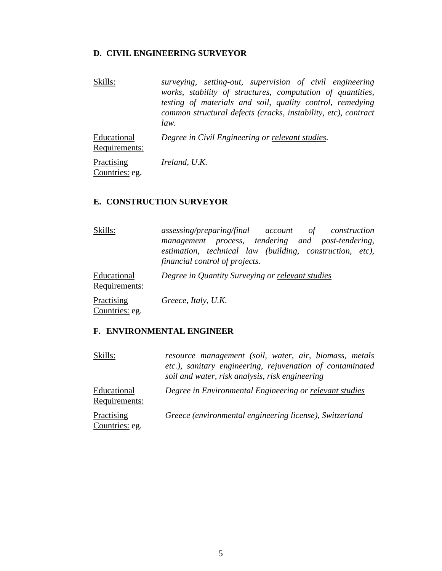#### **D. CIVIL ENGINEERING SURVEYOR**

Skills: *surveying, setting-out, supervision of civil engineering works, stability of structures, computation of quantities, testing of materials and soil, quality control, remedying common structural defects (cracks, instability, etc), contract law.*

Educational Requirements: *Degree in Civil Engineering or relevant studies.*

**Practising** Countries: eg. *Ireland, U.K.*

### **E. CONSTRUCTION SURVEYOR**

| Skills:                      | assessing/preparing/final account of construction<br>management process, tendering and post-tendering,<br>estimation, technical law (building, construction, etc),<br>financial control of projects. |
|------------------------------|------------------------------------------------------------------------------------------------------------------------------------------------------------------------------------------------------|
| Educational<br>Requirements: | Degree in Quantity Surveying or relevant studies                                                                                                                                                     |
| Practising<br>Countries: eg. | Greece, Italy, U.K.                                                                                                                                                                                  |

## **F. ENVIRONMENTAL ENGINEER**

| Skills:                      | resource management (soil, water, air, biomass, metals<br>etc.), sanitary engineering, rejuvenation of contaminated<br>soil and water, risk analysis, risk engineering |  |  |  |  |  |  |
|------------------------------|------------------------------------------------------------------------------------------------------------------------------------------------------------------------|--|--|--|--|--|--|
| Educational<br>Requirements: | Degree in Environmental Engineering or relevant studies                                                                                                                |  |  |  |  |  |  |
| Practising<br>Countries: eg. | Greece (environmental engineering license), Switzerland                                                                                                                |  |  |  |  |  |  |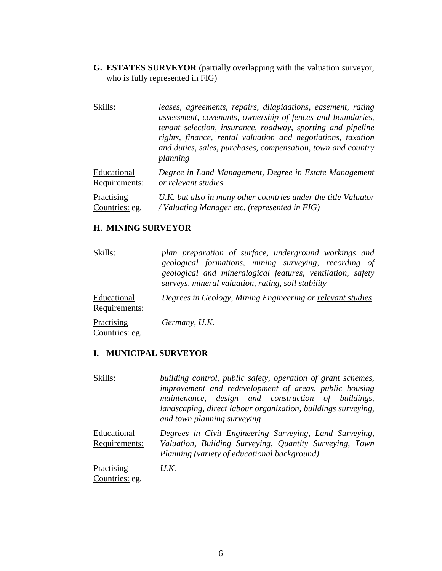**G. ESTATES SURVEYOR** (partially overlapping with the valuation surveyor, who is fully represented in FIG)

| Skills:        | leases, agreements, repairs, dilapidations, easement, rating<br>assessment, covenants, ownership of fences and boundaries,<br>tenant selection, insurance, roadway, sporting and pipeline<br>rights, finance, rental valuation and negotiations, taxation<br>and duties, sales, purchases, compensation, town and country<br>planning |
|----------------|---------------------------------------------------------------------------------------------------------------------------------------------------------------------------------------------------------------------------------------------------------------------------------------------------------------------------------------|
| Educational    | Degree in Land Management, Degree in Estate Management                                                                                                                                                                                                                                                                                |
| Requirements:  | or relevant studies                                                                                                                                                                                                                                                                                                                   |
| Practising     | U.K. but also in many other countries under the title Valuator                                                                                                                                                                                                                                                                        |
| Countries: eg. | / Valuating Manager etc. (represented in FIG)                                                                                                                                                                                                                                                                                         |

#### **H. MINING SURVEYOR**

| Skills:                      | plan preparation of surface, underground workings and<br>geological formations, mining surveying, recording of<br>geological and mineralogical features, ventilation, safety<br>surveys, mineral valuation, rating, soil stability |  |  |  |  |  |
|------------------------------|------------------------------------------------------------------------------------------------------------------------------------------------------------------------------------------------------------------------------------|--|--|--|--|--|
| Educational<br>Requirements: | Degrees in Geology, Mining Engineering or relevant studies                                                                                                                                                                         |  |  |  |  |  |
| Practising<br>Countries: eg. | Germany, U.K.                                                                                                                                                                                                                      |  |  |  |  |  |

#### **I. MUNICIPAL SURVEYOR**

Skills: *building control, public safety, operation of grant schemes, improvement and redevelopment of areas, public housing maintenance, design and construction of buildings, landscaping, direct labour organization, buildings surveying, and town planning surveying* **Educational** Requirements: *Degrees in Civil Engineering Surveying, Land Surveying, Valuation, Building Surveying, Quantity Surveying, Town Planning (variety of educational background)*

**Practising** Countries: eg. *U.K.*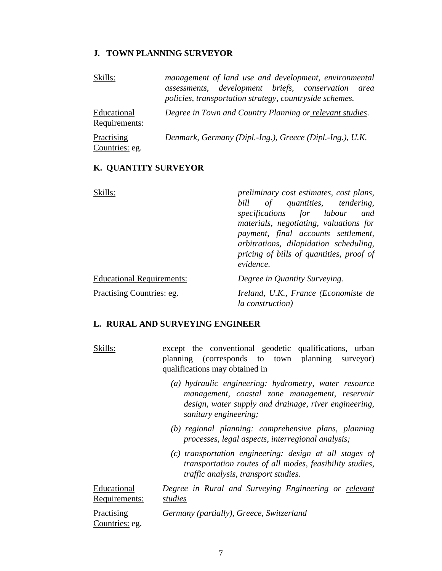#### **J. TOWN PLANNING SURVEYOR**

| Skills:                      | management of land use and development, environmental<br>assessments, development briefs, conservation<br>area<br>policies, transportation strategy, countryside schemes. |  |  |  |  |  |  |  |
|------------------------------|---------------------------------------------------------------------------------------------------------------------------------------------------------------------------|--|--|--|--|--|--|--|
| Educational<br>Requirements: | Degree in Town and Country Planning or relevant studies.                                                                                                                  |  |  |  |  |  |  |  |
| Practising<br>Countries: eg. | Denmark, Germany (Dipl.-Ing.), Greece (Dipl.-Ing.), U.K.                                                                                                                  |  |  |  |  |  |  |  |

## **K. QUANTITY SURVEYOR**

| Skills:                          | preliminary cost estimates, cost plans,<br>bill of quantities, tendering,<br>specifications for labour<br>and<br>materials, negotiating, valuations for<br>payment, final accounts settlement,<br>arbitrations, dilapidation scheduling,<br>pricing of bills of quantities, proof of<br>evidence. |  |  |  |  |
|----------------------------------|---------------------------------------------------------------------------------------------------------------------------------------------------------------------------------------------------------------------------------------------------------------------------------------------------|--|--|--|--|
| <b>Educational Requirements:</b> | Degree in Quantity Surveying.                                                                                                                                                                                                                                                                     |  |  |  |  |
| Practising Countries: eg.        | Ireland, U.K., France (Economiste de<br><i>la construction</i> )                                                                                                                                                                                                                                  |  |  |  |  |

#### **L. RURAL AND SURVEYING ENGINEER**

| Skills: |                                |  | except the conventional geodetic qualifications, urban |  |  |  |  |
|---------|--------------------------------|--|--------------------------------------------------------|--|--|--|--|
|         |                                |  | planning (corresponds to town planning surveyor)       |  |  |  |  |
|         | qualifications may obtained in |  |                                                        |  |  |  |  |

- *(a) hydraulic engineering: hydrometry, water resource management, coastal zone management, reservoir design, water supply and drainage, river engineering, sanitary engineering;*
- *(b) regional planning: comprehensive plans, planning processes, legal aspects, interregional analysis;*
- *(c) transportation engineering: design at all stages of transportation routes of all modes, feasibility studies, traffic analysis, transport studies.*

Educational Requirements: *Degree in Rural and Surveying Engineering or relevant studies*

**Practising** Countries: eg. *Germany (partially), Greece, Switzerland*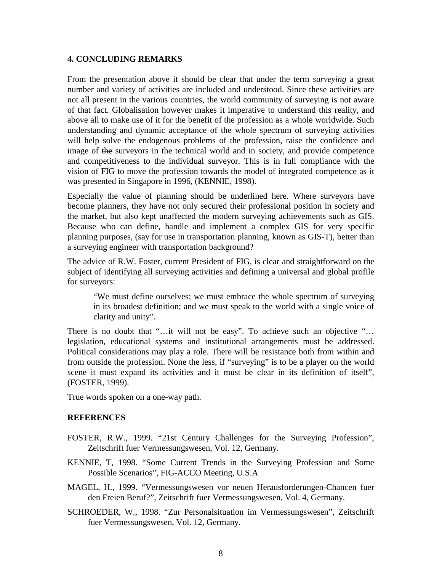#### **4. CONCLUDING REMARKS**

From the presentation above it should be clear that under the term *surveying* a great number and variety of activities are included and understood. Since these activities are not all present in the various countries, the world community of surveying is not aware of that fact. Globalisation however makes it imperative to understand this reality, and above all to make use of it for the benefit of the profession as a whole worldwide. Such understanding and dynamic acceptance of the whole spectrum of surveying activities will help solve the endogenous problems of the profession, raise the confidence and image of the surveyors in the technical world and in society, and provide competence and competitiveness to the individual surveyor. This is in full compliance with the vision of FIG to move the profession towards the model of integrated competence as it was presented in Singapore in 1996, (KENNIE, 1998).

Especially the value of planning should be underlined here. Where surveyors have become planners, they have not only secured their professional position in society and the market, but also kept unaffected the modern surveying achievements such as GIS. Because who can define, handle and implement a complex GIS for very specific planning purposes, (say for use in transportation planning, known as GIS-T), better than a surveying engineer with transportation background?

The advice of R.W. Foster, current President of FIG, is clear and straightforward on the subject of identifying all surveying activities and defining a universal and global profile for surveyors:

"We must define ourselves; we must embrace the whole spectrum of surveying in its broadest definition; and we must speak to the world with a single voice of clarity and unity".

There is no doubt that "...it will not be easy". To achieve such an objective "... legislation, educational systems and institutional arrangements must be addressed. Political considerations may play a role. There will be resistance both from within and from outside the profession. None the less, if "surveying" is to be a player on the world scene it must expand its activities and it must be clear in its definition of itself", (FOSTER, 1999).

True words spoken on a one-way path.

#### **REFERENCES**

- FOSTER, R.W., 1999. "21st Century Challenges for the Surveying Profession", Zeitschrift fuer Vermessungswesen, Vol. 12, Germany.
- KENNIE, T, 1998. "Some Current Trends in the Surveying Profession and Some Possible Scenarios", FIG-ACCO Meeting, U.S.A
- MAGEL, H., 1999. "Vermessungswesen vor neuen Herausforderungen-Chancen fuer den Freien Beruf?", Zeitschrift fuer Vermessungswesen, Vol. 4, Germany.
- SCHROEDER, W., 1998. "Zur Personalsituation im Vermessungswesen", Zeitschrift fuer Vermessungswesen, Vol. 12, Germany.